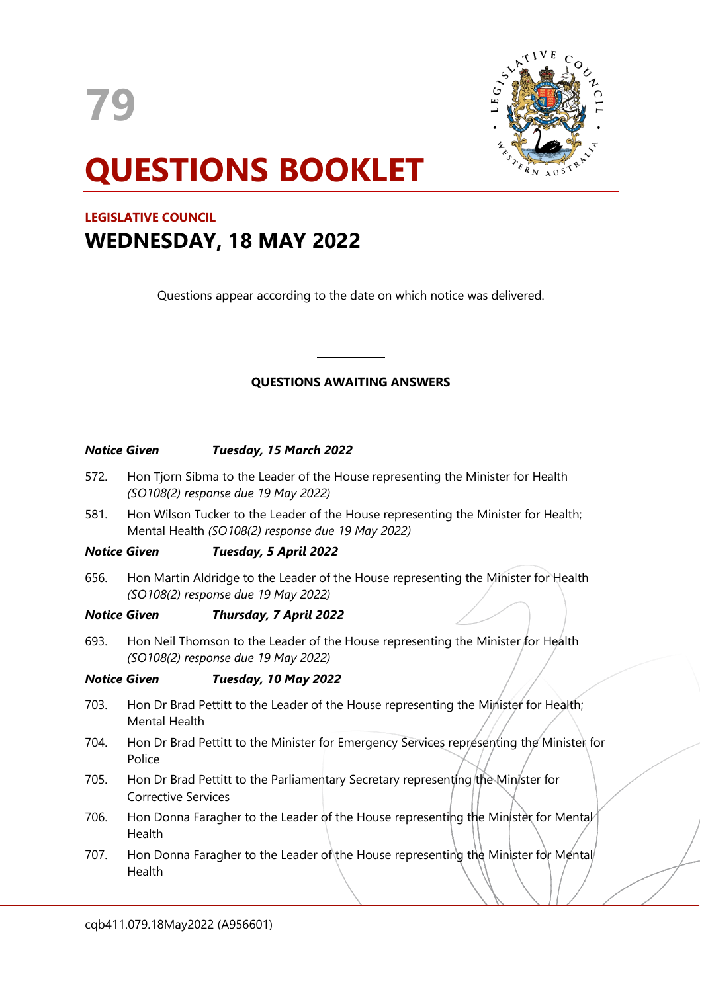

# **QUESTIONS BOOKLET**

# **LEGISLATIVE COUNCIL WEDNESDAY, 18 MAY 2022**

Questions appear according to the date on which notice was delivered.

# **QUESTIONS AWAITING ANSWERS**

# *Notice Given Tuesday, 15 March 2022*

572. Hon Tjorn Sibma to the Leader of the House representing the Minister for Health *(SO108(2) response due 19 May 2022)*

 $\overline{\phantom{a}}$ 

 $\overline{\phantom{a}}$ 

581. Hon Wilson Tucker to the Leader of the House representing the Minister for Health; Mental Health *(SO108(2) response due 19 May 2022)*

# *Notice Given Tuesday, 5 April 2022*

656. Hon Martin Aldridge to the Leader of the House representing the Minister for Health *(SO108(2) response due 19 May 2022)*

# *Notice Given Thursday, 7 April 2022*

693. Hon Neil Thomson to the Leader of the House representing the Minister for Health *(SO108(2) response due 19 May 2022)*

# *Notice Given Tuesday, 10 May 2022*

- 703. Hon Dr Brad Pettitt to the Leader of the House representing the Minister for Health; Mental Health
- 704. Hon Dr Brad Pettitt to the Minister for Emergency Services representing the Minister for Police
- 705. Hon Dr Brad Pettitt to the Parliamentary Secretary representing the Minister for Corrective Services
- 706. Hon Donna Faragher to the Leader of the House representing the Minister for Mental Health
- 707. Hon Donna Faragher to the Leader of the House representing the Minister for Mental Health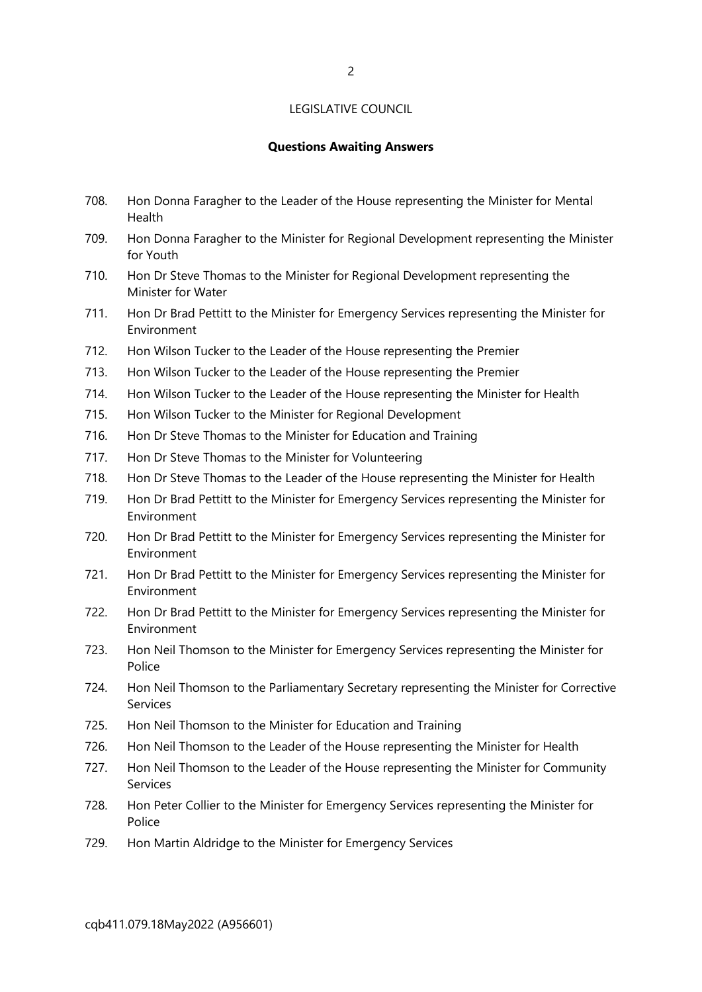## LEGISLATIVE COUNCIL

#### **Questions Awaiting Answers**

- 708. Hon Donna Faragher to the Leader of the House representing the Minister for Mental Health
- 709. Hon Donna Faragher to the Minister for Regional Development representing the Minister for Youth
- 710. Hon Dr Steve Thomas to the Minister for Regional Development representing the Minister for Water
- 711. Hon Dr Brad Pettitt to the Minister for Emergency Services representing the Minister for Environment
- 712. Hon Wilson Tucker to the Leader of the House representing the Premier
- 713. Hon Wilson Tucker to the Leader of the House representing the Premier
- 714. Hon Wilson Tucker to the Leader of the House representing the Minister for Health
- 715. Hon Wilson Tucker to the Minister for Regional Development
- 716. Hon Dr Steve Thomas to the Minister for Education and Training
- 717. Hon Dr Steve Thomas to the Minister for Volunteering
- 718. Hon Dr Steve Thomas to the Leader of the House representing the Minister for Health
- 719. Hon Dr Brad Pettitt to the Minister for Emergency Services representing the Minister for Environment
- 720. Hon Dr Brad Pettitt to the Minister for Emergency Services representing the Minister for Environment
- 721. Hon Dr Brad Pettitt to the Minister for Emergency Services representing the Minister for Environment
- 722. Hon Dr Brad Pettitt to the Minister for Emergency Services representing the Minister for Environment
- 723. Hon Neil Thomson to the Minister for Emergency Services representing the Minister for Police
- 724. Hon Neil Thomson to the Parliamentary Secretary representing the Minister for Corrective Services
- 725. Hon Neil Thomson to the Minister for Education and Training
- 726. Hon Neil Thomson to the Leader of the House representing the Minister for Health
- 727. Hon Neil Thomson to the Leader of the House representing the Minister for Community Services
- 728. Hon Peter Collier to the Minister for Emergency Services representing the Minister for Police
- 729. Hon Martin Aldridge to the Minister for Emergency Services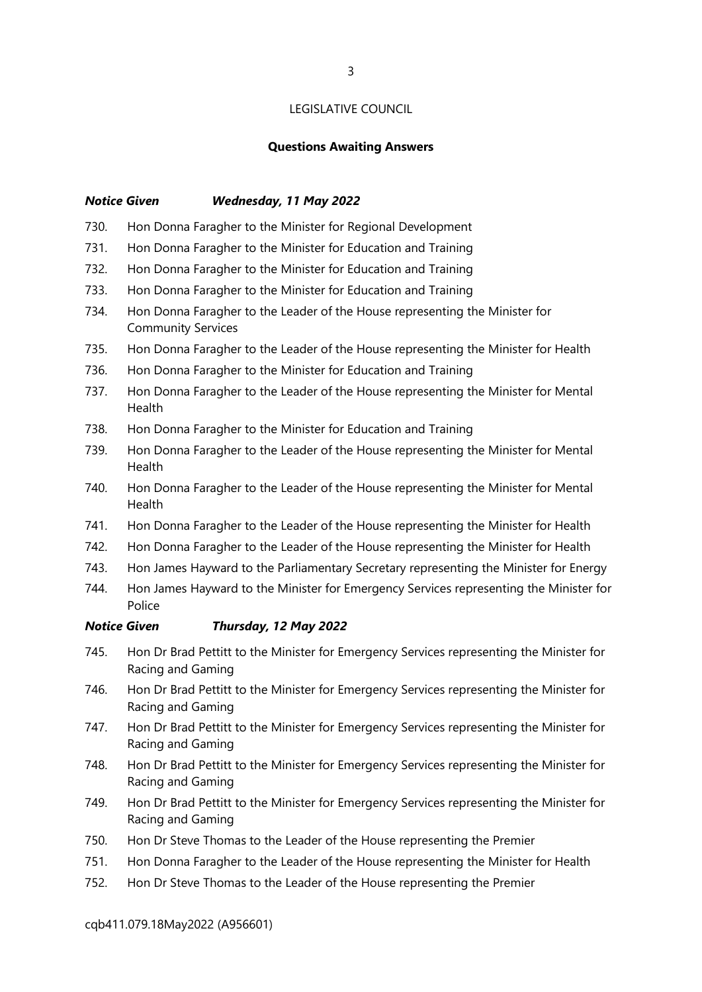#### LEGISLATIVE COUNCIL

#### **Questions Awaiting Answers**

#### *Notice Given Wednesday, 11 May 2022*

- 730. Hon Donna Faragher to the Minister for Regional Development
- 731. Hon Donna Faragher to the Minister for Education and Training
- 732. Hon Donna Faragher to the Minister for Education and Training
- 733. Hon Donna Faragher to the Minister for Education and Training
- 734. Hon Donna Faragher to the Leader of the House representing the Minister for Community Services
- 735. Hon Donna Faragher to the Leader of the House representing the Minister for Health
- 736. Hon Donna Faragher to the Minister for Education and Training
- 737. Hon Donna Faragher to the Leader of the House representing the Minister for Mental Health
- 738. Hon Donna Faragher to the Minister for Education and Training
- 739. Hon Donna Faragher to the Leader of the House representing the Minister for Mental Health
- 740. Hon Donna Faragher to the Leader of the House representing the Minister for Mental Health
- 741. Hon Donna Faragher to the Leader of the House representing the Minister for Health
- 742. Hon Donna Faragher to the Leader of the House representing the Minister for Health
- 743. Hon James Hayward to the Parliamentary Secretary representing the Minister for Energy
- 744. Hon James Hayward to the Minister for Emergency Services representing the Minister for **Police**

#### *Notice Given Thursday, 12 May 2022*

- 745. Hon Dr Brad Pettitt to the Minister for Emergency Services representing the Minister for Racing and Gaming
- 746. Hon Dr Brad Pettitt to the Minister for Emergency Services representing the Minister for Racing and Gaming
- 747. Hon Dr Brad Pettitt to the Minister for Emergency Services representing the Minister for Racing and Gaming
- 748. Hon Dr Brad Pettitt to the Minister for Emergency Services representing the Minister for Racing and Gaming
- 749. Hon Dr Brad Pettitt to the Minister for Emergency Services representing the Minister for Racing and Gaming
- 750. Hon Dr Steve Thomas to the Leader of the House representing the Premier
- 751. Hon Donna Faragher to the Leader of the House representing the Minister for Health
- 752. Hon Dr Steve Thomas to the Leader of the House representing the Premier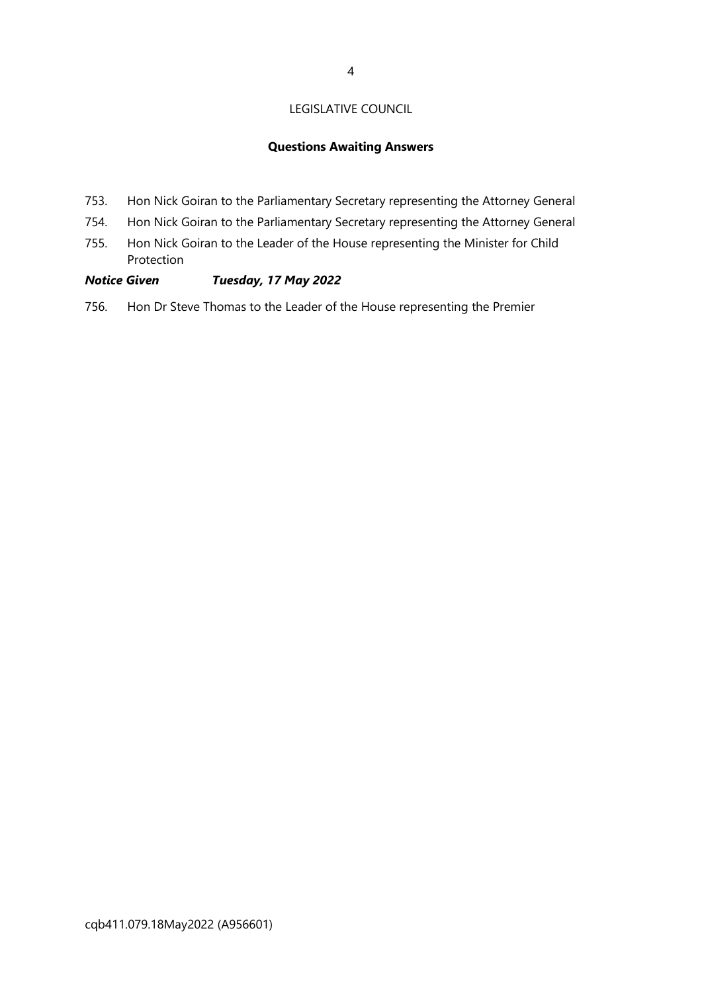# LEGISLATIVE COUNCIL

## **Questions Awaiting Answers**

- 753. Hon Nick Goiran to the Parliamentary Secretary representing the Attorney General
- 754. Hon Nick Goiran to the Parliamentary Secretary representing the Attorney General
- 755. Hon Nick Goiran to the Leader of the House representing the Minister for Child Protection

# *Notice Given Tuesday, 17 May 2022*

756. Hon Dr Steve Thomas to the Leader of the House representing the Premier